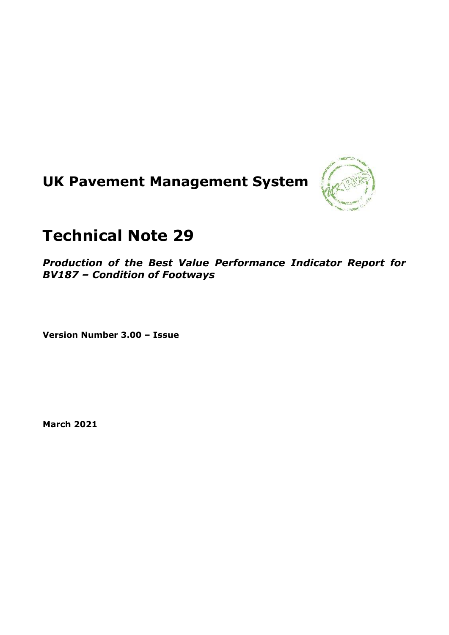# **UK Pavement Management System**



# **Technical Note 29**

*Production of the Best Value Performance Indicator Report for BV187 – Condition of Footways*

**Version Number 3.00 – Issue**

**March 2021**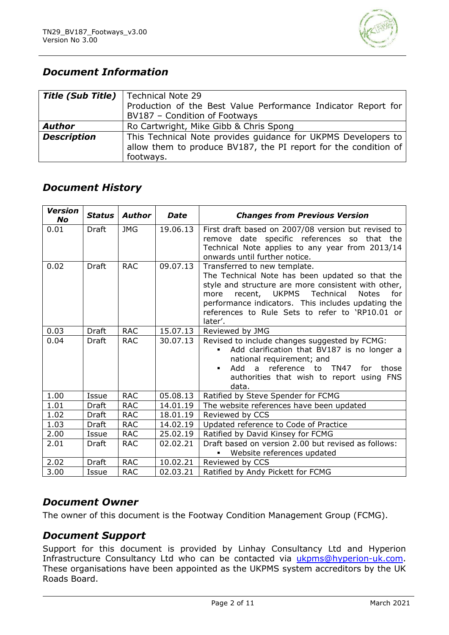

# *Document Information*

| <b>Title (Sub Title)</b> | Technical Note 29                                               |
|--------------------------|-----------------------------------------------------------------|
|                          | Production of the Best Value Performance Indicator Report for   |
|                          | BV187 - Condition of Footways                                   |
| <b>Author</b>            | Ro Cartwright, Mike Gibb & Chris Spong                          |
| <b>Description</b>       | This Technical Note provides guidance for UKPMS Developers to   |
|                          | allow them to produce BV187, the PI report for the condition of |
|                          | footways.                                                       |

# *Document History*

| <b>Version</b><br><b>No</b> | <b>Status</b> | <b>Author</b> | <b>Date</b> | <b>Changes from Previous Version</b>                                                                                                                                                                                                                                                                                    |  |
|-----------------------------|---------------|---------------|-------------|-------------------------------------------------------------------------------------------------------------------------------------------------------------------------------------------------------------------------------------------------------------------------------------------------------------------------|--|
| 0.01                        | <b>Draft</b>  | <b>JMG</b>    | 19.06.13    | First draft based on 2007/08 version but revised to<br>remove date specific references so that the<br>Technical Note applies to any year from 2013/14                                                                                                                                                                   |  |
|                             |               |               |             | onwards until further notice.                                                                                                                                                                                                                                                                                           |  |
| 0.02                        | Draft         | <b>RAC</b>    | 09.07.13    | Transferred to new template.<br>The Technical Note has been updated so that the<br>style and structure are more consistent with other,<br>recent, UKPMS<br>Technical<br><b>Notes</b><br>for<br>more<br>performance indicators. This includes updating the<br>references to Rule Sets to refer to 'RP10.01 or<br>later'. |  |
| 0.03                        | <b>Draft</b>  | <b>RAC</b>    | 15.07.13    | Reviewed by JMG                                                                                                                                                                                                                                                                                                         |  |
| 0.04                        | <b>Draft</b>  | <b>RAC</b>    | 30.07.13    | Revised to include changes suggested by FCMG:<br>Add clarification that BV187 is no longer a<br>national requirement; and<br>Add a reference to TN47 for those<br>authorities that wish to report using FNS<br>data.                                                                                                    |  |
| 1.00                        | Issue         | <b>RAC</b>    | 05.08.13    | Ratified by Steve Spender for FCMG                                                                                                                                                                                                                                                                                      |  |
| 1.01                        | Draft         | <b>RAC</b>    | 14.01.19    | The website references have been updated                                                                                                                                                                                                                                                                                |  |
| 1.02                        | Draft         | <b>RAC</b>    | 18.01.19    | Reviewed by CCS                                                                                                                                                                                                                                                                                                         |  |
| 1.03                        | Draft         | <b>RAC</b>    | 14.02.19    | Updated reference to Code of Practice                                                                                                                                                                                                                                                                                   |  |
| 2.00                        | Issue         | <b>RAC</b>    | 25.02.19    | Ratified by David Kinsey for FCMG                                                                                                                                                                                                                                                                                       |  |
| 2.01                        | Draft         | <b>RAC</b>    | 02.02.21    | Draft based on version 2.00 but revised as follows:<br>Website references updated                                                                                                                                                                                                                                       |  |
| 2.02                        | <b>Draft</b>  | <b>RAC</b>    | 10.02.21    | Reviewed by CCS                                                                                                                                                                                                                                                                                                         |  |
| 3.00                        | Issue         | <b>RAC</b>    | 02.03.21    | Ratified by Andy Pickett for FCMG                                                                                                                                                                                                                                                                                       |  |

#### *Document Owner*

The owner of this document is the Footway Condition Management Group (FCMG).

## *Document Support*

Support for this document is provided by Linhay Consultancy Ltd and Hyperion Infrastructure Consultancy Ltd who can be contacted via [ukpms@hyperion-uk.com.](mailto:ukpms@hyperion-uk.com) These organisations have been appointed as the UKPMS system accreditors by the UK Roads Board.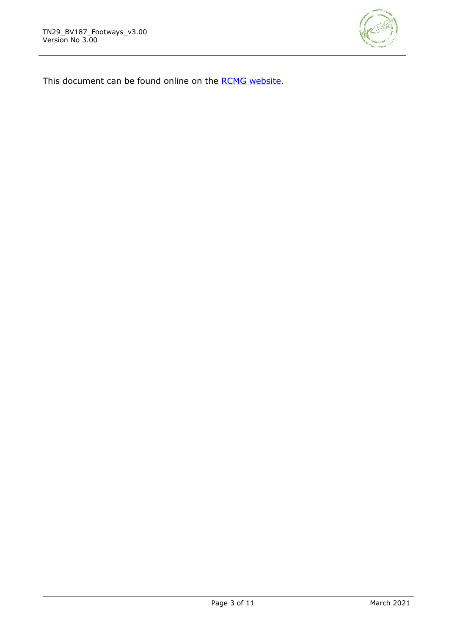

This document can be found online on the [RCMG website.](https://www.ciht.org.uk/ukrlg-home/guidance/road-condition-information/data-management/uk-pavement-management-system-ukpms/)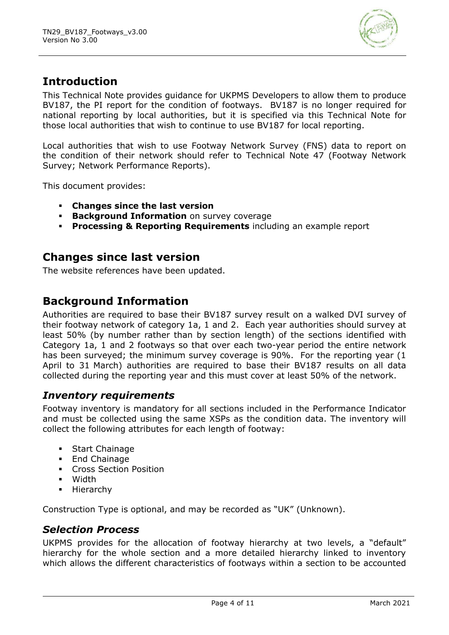

# **Introduction**

This Technical Note provides guidance for UKPMS Developers to allow them to produce BV187, the PI report for the condition of footways. BV187 is no longer required for national reporting by local authorities, but it is specified via this Technical Note for those local authorities that wish to continue to use BV187 for local reporting.

Local authorities that wish to use Footway Network Survey (FNS) data to report on the condition of their network should refer to Technical Note 47 (Footway Network Survey; Network Performance Reports).

This document provides:

- **Changes since the last version**
- **EXECUTE: Background Information** on survey coverage
- **Processing & Reporting Requirements** including an example report

## **Changes since last version**

The website references have been updated.

# **Background Information**

Authorities are required to base their BV187 survey result on a walked DVI survey of their footway network of category 1a, 1 and 2. Each year authorities should survey at least 50% (by number rather than by section length) of the sections identified with Category 1a, 1 and 2 footways so that over each two-year period the entire network has been surveyed; the minimum survey coverage is 90%. For the reporting year (1 April to 31 March) authorities are required to base their BV187 results on all data collected during the reporting year and this must cover at least 50% of the network.

#### *Inventory requirements*

Footway inventory is mandatory for all sections included in the Performance Indicator and must be collected using the same XSPs as the condition data. The inventory will collect the following attributes for each length of footway:

- **Start Chainage**
- End Chainage
- **Cross Section Position**
- Width
- Hierarchy

Construction Type is optional, and may be recorded as "UK" (Unknown).

#### *Selection Process*

UKPMS provides for the allocation of footway hierarchy at two levels, a "default" hierarchy for the whole section and a more detailed hierarchy linked to inventory which allows the different characteristics of footways within a section to be accounted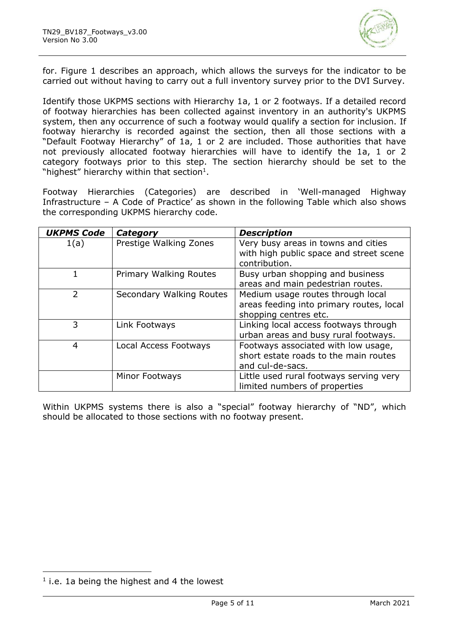

for. [Figure 1](#page-5-0) describes an approach, which allows the surveys for the indicator to be carried out without having to carry out a full inventory survey prior to the DVI Survey.

Identify those UKPMS sections with Hierarchy 1a, 1 or 2 footways. If a detailed record of footway hierarchies has been collected against inventory in an authority's UKPMS system, then any occurrence of such a footway would qualify a section for inclusion. If footway hierarchy is recorded against the section, then all those sections with a "Default Footway Hierarchy" of 1a, 1 or 2 are included. Those authorities that have not previously allocated footway hierarchies will have to identify the 1a, 1 or 2 category footways prior to this step. The section hierarchy should be set to the "highest" hierarchy within that section $1$ .

Footway Hierarchies (Categories) are described in 'Well-managed Highway Infrastructure – A Code of Practice' as shown in the following Table which also shows the corresponding UKPMS hierarchy code.

| <b>UKPMS Code</b> | Category                 | <b>Description</b>                                                                                     |
|-------------------|--------------------------|--------------------------------------------------------------------------------------------------------|
| 1(a)              | Prestige Walking Zones   | Very busy areas in towns and cities<br>with high public space and street scene<br>contribution.        |
|                   | Primary Walking Routes   | Busy urban shopping and business<br>areas and main pedestrian routes.                                  |
| $\mathcal{P}$     | Secondary Walking Routes | Medium usage routes through local<br>areas feeding into primary routes, local<br>shopping centres etc. |
| 3                 | Link Footways            | Linking local access footways through<br>urban areas and busy rural footways.                          |
| 4                 | Local Access Footways    | Footways associated with low usage,<br>short estate roads to the main routes<br>and cul-de-sacs.       |
|                   | Minor Footways           | Little used rural footways serving very<br>limited numbers of properties                               |

Within UKPMS systems there is also a "special" footway hierarchy of "ND", which should be allocated to those sections with no footway present.

 $<sup>1</sup>$  i.e. 1a being the highest and 4 the lowest</sup>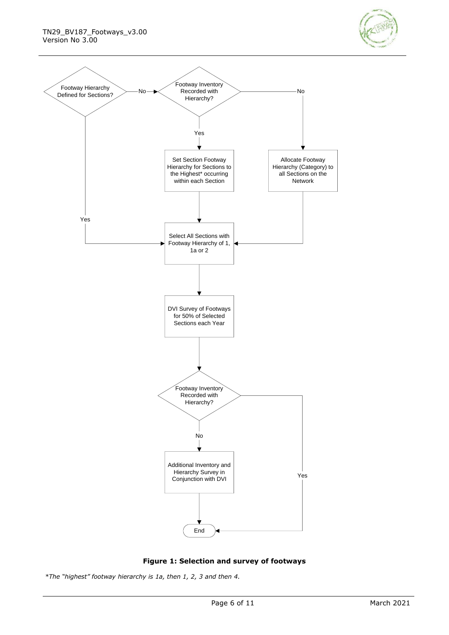



**Figure 1: Selection and survey of footways**

<span id="page-5-0"></span>*\*The "highest" footway hierarchy is 1a, then 1, 2, 3 and then 4.*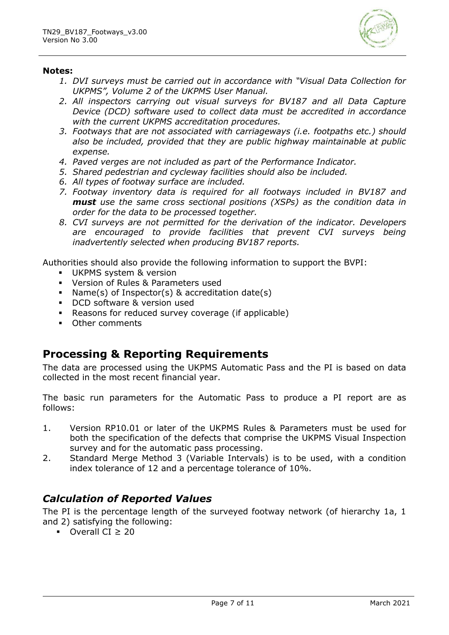

#### **Notes:**

- *1. DVI surveys must be carried out in accordance with "Visual Data Collection for UKPMS", Volume 2 of the UKPMS User Manual.*
- *2. All inspectors carrying out visual surveys for BV187 and all Data Capture Device (DCD) software used to collect data must be accredited in accordance with the current UKPMS accreditation procedures.*
- *3. Footways that are not associated with carriageways (i.e. footpaths etc.) should also be included, provided that they are public highway maintainable at public expense.*
- *4. Paved verges are not included as part of the Performance Indicator.*
- *5. Shared pedestrian and cycleway facilities should also be included.*
- *6. All types of footway surface are included.*
- *7. Footway inventory data is required for all footways included in BV187 and must use the same cross sectional positions (XSPs) as the condition data in order for the data to be processed together.*
- *8. CVI surveys are not permitted for the derivation of the indicator. Developers are encouraged to provide facilities that prevent CVI surveys being inadvertently selected when producing BV187 reports.*

Authorities should also provide the following information to support the BVPI:

- **UKPMS system & version**
- Version of Rules & Parameters used
- Name(s) of Inspector(s) & accreditation date(s)
- DCD software & version used
- Reasons for reduced survey coverage (if applicable)
- Other comments

# **Processing & Reporting Requirements**

The data are processed using the UKPMS Automatic Pass and the PI is based on data collected in the most recent financial year.

The basic run parameters for the Automatic Pass to produce a PI report are as follows:

- 1. Version RP10.01 or later of the UKPMS Rules & Parameters must be used for both the specification of the defects that comprise the UKPMS Visual Inspection survey and for the automatic pass processing.
- 2. Standard Merge Method 3 (Variable Intervals) is to be used, with a condition index tolerance of 12 and a percentage tolerance of 10%.

# *Calculation of Reported Values*

The PI is the percentage length of the surveyed footway network (of hierarchy 1a, 1 and 2) satisfying the following:

▪ Overall CI ≥ 20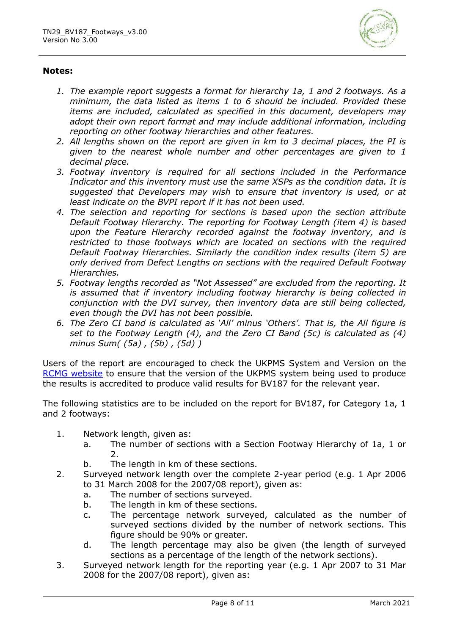

#### **Notes:**

- *1. The example report suggests a format for hierarchy 1a, 1 and 2 footways. As a minimum, the data listed as items 1 to 6 should be included. Provided these items are included, calculated as specified in this document, developers may adopt their own report format and may include additional information, including reporting on other footway hierarchies and other features.*
- *2. All lengths shown on the report are given in km to 3 decimal places, the PI is given to the nearest whole number and other percentages are given to 1 decimal place.*
- *3. Footway inventory is required for all sections included in the Performance Indicator and this inventory must use the same XSPs as the condition data. It is suggested that Developers may wish to ensure that inventory is used, or at least indicate on the BVPI report if it has not been used.*
- *4. The selection and reporting for sections is based upon the section attribute Default Footway Hierarchy. The reporting for Footway Length (item 4) is based upon the Feature Hierarchy recorded against the footway inventory, and is restricted to those footways which are located on sections with the required Default Footway Hierarchies. Similarly the condition index results (item 5) are only derived from Defect Lengths on sections with the required Default Footway Hierarchies.*
- *5. Footway lengths recorded as "Not Assessed" are excluded from the reporting. It is assumed that if inventory including footway hierarchy is being collected in conjunction with the DVI survey, then inventory data are still being collected, even though the DVI has not been possible.*
- *6. The Zero CI band is calculated as 'All' minus 'Others'. That is, the All figure is set to the Footway Length (4), and the Zero CI Band (5c) is calculated as (4) minus Sum( (5a) , (5b) , (5d) )*

Users of the report are encouraged to check the UKPMS System and Version on the [RCMG website](https://www.ciht.org.uk/ukrlg-home/guidance/road-condition-information/data-management/uk-pavement-management-system-ukpms/) to ensure that the version of the UKPMS system being used to produce the results is accredited to produce valid results for BV187 for the relevant year.

The following statistics are to be included on the report for BV187, for Category 1a, 1 and 2 footways:

- 1. Network length, given as:
	- a. The number of sections with a Section Footway Hierarchy of 1a, 1 or 2.
	- b. The length in km of these sections.
- 2. Surveyed network length over the complete 2-year period (e.g. 1 Apr 2006 to 31 March 2008 for the 2007/08 report), given as:
	- a. The number of sections surveyed.
	- b. The length in km of these sections.
	- c. The percentage network surveyed, calculated as the number of surveyed sections divided by the number of network sections. This figure should be 90% or greater.
	- d. The length percentage may also be given (the length of surveyed sections as a percentage of the length of the network sections).
- 3. Surveyed network length for the reporting year (e.g. 1 Apr 2007 to 31 Mar 2008 for the 2007/08 report), given as: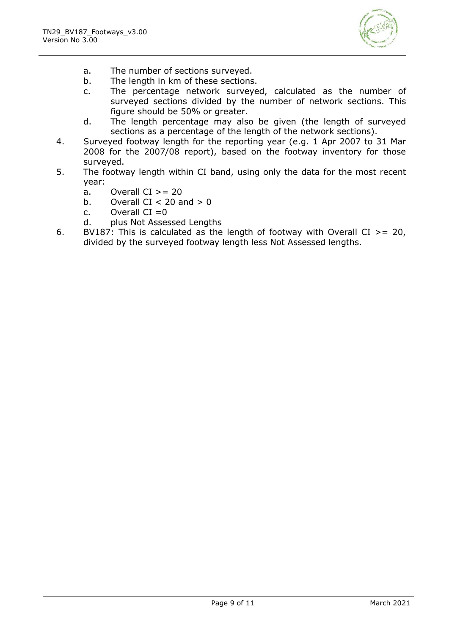

- a. The number of sections surveyed.
- b. The length in km of these sections.
- c. The percentage network surveyed, calculated as the number of surveyed sections divided by the number of network sections. This figure should be 50% or greater.
- d. The length percentage may also be given (the length of surveyed sections as a percentage of the length of the network sections).
- 4. Surveyed footway length for the reporting year (e.g. 1 Apr 2007 to 31 Mar 2008 for the 2007/08 report), based on the footway inventory for those surveyed.
- 5. The footway length within CI band, using only the data for the most recent year:
	- a. Overall  $CI > = 20$
	- b. Overall  $CI < 20$  and  $> 0$
	- c. Overall  $CI = 0$
	- d. plus Not Assessed Lengths
- 6. BV187: This is calculated as the length of footway with Overall CI  $> = 20$ , divided by the surveyed footway length less Not Assessed lengths.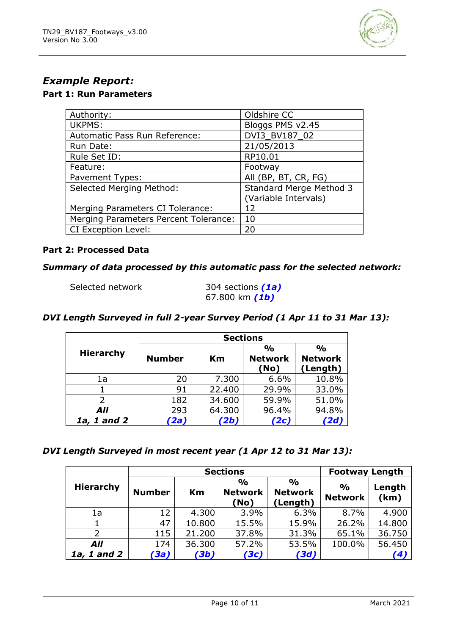

# *Example Report:*

# **Part 1: Run Parameters**

| Authority:                            | Oldshire CC             |
|---------------------------------------|-------------------------|
| UKPMS:                                | Bloggs PMS v2.45        |
| Automatic Pass Run Reference:         | DVI3_BV187_02           |
| Run Date:                             | 21/05/2013              |
| Rule Set ID:                          | RP10.01                 |
| Feature:                              | Footway                 |
| Pavement Types:                       | All (BP, BT, CR, FG)    |
| <b>Selected Merging Method:</b>       | Standard Merge Method 3 |
|                                       | (Variable Intervals)    |
| Merging Parameters CI Tolerance:      | 12                      |
| Merging Parameters Percent Tolerance: | 10                      |
| CI Exception Level:                   | 20                      |

#### **Part 2: Processed Data**

#### *Summary of data processed by this automatic pass for the selected network:*

```
Selected network 304 sections (1a)
```
67.800 km *(1b)*

### *DVI Length Surveyed in full 2-year Survey Period (1 Apr 11 to 31 Mar 13):*

|                  | <b>Sections</b> |        |                |                |  |  |
|------------------|-----------------|--------|----------------|----------------|--|--|
| <b>Hierarchy</b> |                 |        | $\frac{0}{0}$  | $\frac{0}{0}$  |  |  |
|                  | <b>Number</b>   | Кm     | <b>Network</b> | <b>Network</b> |  |  |
|                  |                 |        | (No)           | (Length)       |  |  |
| 1a               | 20              | 7.300  | 6.6%           | 10.8%          |  |  |
|                  | 91              | 22.400 | 29.9%          | 33.0%          |  |  |
| フ                | 182             | 34.600 | 59.9%          | 51.0%          |  |  |
| All              | 293             | 64.300 | 96.4%          | 94.8%          |  |  |
| 1a, 1 and 2      | 2a)             | '2b)   | (2c            |                |  |  |

#### *DVI Length Surveyed in most recent year (1 Apr 12 to 31 Mar 13):*

|                  |               | <b>Sections</b> | <b>Footway Length</b>                   |                                             |                                 |                |
|------------------|---------------|-----------------|-----------------------------------------|---------------------------------------------|---------------------------------|----------------|
| <b>Hierarchy</b> | <b>Number</b> | Km              | $\frac{0}{0}$<br><b>Network</b><br>(No) | $\frac{O}{O}$<br><b>Network</b><br>(Length) | $\frac{1}{2}$<br><b>Network</b> | Length<br>(km) |
| 1a               | 12            | 4.300           | 3.9%                                    | 6.3%                                        | 8.7%                            | 4.900          |
|                  | 47            | 10.800          | 15.5%                                   | 15.9%                                       | 26.2%                           | 14.800         |
| 2                | 115           | 21,200          | 37.8%                                   | 31.3%                                       | 65.1%                           | 36.750         |
| All              | 174           | 36.300          | 57.2%                                   | 53.5%                                       | 100.0%                          | 56.450         |
| 1a, 1 and 2      | (3a)          | (3b)            | (3c)                                    | (3d)                                        |                                 | (4)            |